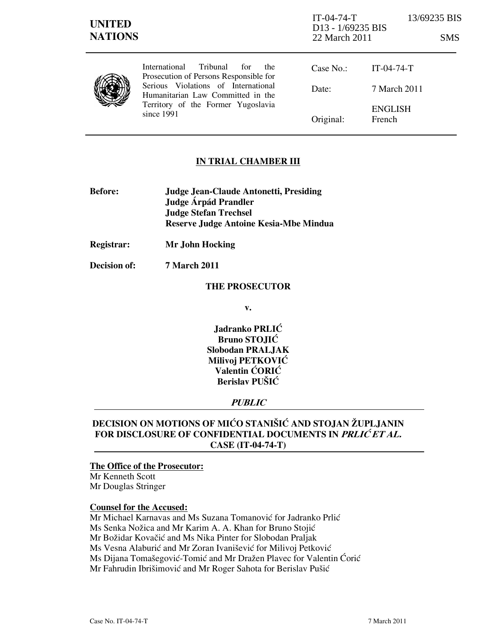| <b>UNITED</b><br><b>NATIONS</b> |                                                                                                                                                                                                                                   | $IT-04-74-T$<br>D <sub>13</sub> - 1/69235 BIS<br>22 March 2011 |                          | 13/69235 BIS<br>SMS. |
|---------------------------------|-----------------------------------------------------------------------------------------------------------------------------------------------------------------------------------------------------------------------------------|----------------------------------------------------------------|--------------------------|----------------------|
|                                 | <b>Tribunal</b><br><b>International</b><br>for<br>the<br>Prosecution of Persons Responsible for<br>Serious Violations of International<br>Humanitarian Law Committed in the<br>Territory of the Former Yugoslavia<br>since $1991$ | Case No.                                                       | $IT-04-74-T$             |                      |
|                                 |                                                                                                                                                                                                                                   | Date:                                                          | 7 March 2011             |                      |
|                                 |                                                                                                                                                                                                                                   | Original:                                                      | <b>ENGLISH</b><br>French |                      |

## IN TRIAL CHAMBER III

- Before: Judge Jean-Claude Antonetti, Presiding Judge Árpád Prandler Judge Stefan Trechsel Reserve Judge Antoine Kesia-Mbe Mindua
- Registrar: Mr John Hocking

Decision of: 7 March 2011

#### THE PROSECUTOR

v.

Jadranko PRLIĆ Bruno STOJIĆ Slobodan PRALJAK Milivoj PETKOVIĆ Valentin ĆORIĆ Berislav PUŠIĆ

## PUBLIC

# DECISION ON MOTIONS OF MIĆO STANIŠIĆ AND STOJAN ŽUPLJANIN FOR DISCLOSURE OF CONFIDENTIAL DOCUMENTS IN PRLIĆET AL. CASE (IT-04-74-T)

## The Office of the Prosecutor:

Mr Kenneth Scott Mr Douglas Stringer

#### Counsel for the Accused:

Mr Michael Karnavas and Ms Suzana Tomanović for Jadranko Prlić Ms Senka Nožica and Mr Karim A. A. Khan for Bruno Stojić Mr Božidar Kovačić and Ms Nika Pinter for Slobodan Praljak Ms Vesna Alaburić and Mr Zoran Ivanišević for Milivoj Petković Ms Dijana Tomašegović-Tomić and Mr Dražen Plavec for Valentin Ćorić Mr Fahrudin Ibrišimović and Mr Roger Sahota for Berislav Pušić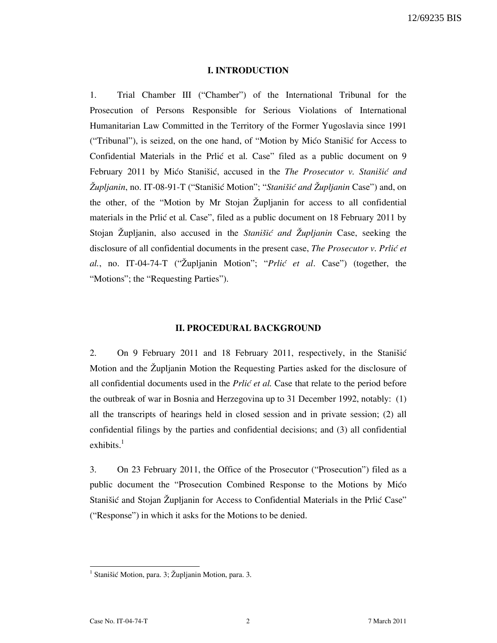#### I. INTRODUCTION

1. Trial Chamber III ("Chamber") of the International Tribunal for the Prosecution of Persons Responsible for Serious Violations of International Humanitarian Law Committed in the Territory of the Former Yugoslavia since 1991 ("Tribunal"), is seized, on the one hand, of "Motion by Mico Stanišic for Access to Confidential Materials in the Prlic et al. Case" filed as a public document on 9 February 2011 by Mićo Stanišić, accused in the The Prosecutor v. Stanišić and  $\check{Z}$ upljanin, no. IT-08-91-T ("Stanišić Motion"; "Stanišić and  $\check{Z}$ upljanin Case") and, on the other, of the "Motion by Mr Stojan  $\check{Z}$ upljanin for access to all confidential materials in the Prlić et al. Case", filed as a public document on 18 February 2011 by Stojan Župljanin, also accused in the *Stanišić and Župljanin* Case, seeking the disclosure of all confidential documents in the present case, The Prosecutor v. Prlić et al., no. IT-04-74-T ("Župljanin Motion"; " $Prlic'$  et al. Case") (together, the "Motions"; the "Requesting Parties").

#### II. PROCEDURAL BACKGROUND

2. On 9 February 2011 and 18 February 2011, respectively, in the Stanistic Motion and the Župljanin Motion the Requesting Parties asked for the disclosure of all confidential documents used in the *Prlić et al*. Case that relate to the period before the outbreak of war in Bosnia and Herzegovina up to 31 December 1992, notably: (1) all the transcripts of hearings held in closed session and in private session; (2) all confidential filings by the parties and confidential decisions; and (3) all confidential exhibits. $<sup>1</sup>$ </sup>

3. On 23 February 2011, the Office of the Prosecutor ("Prosecution") filed as a public document the "Prosecution Combined Response to the Motions by Mićo Stanišić and Stojan Župljanin for Access to Confidential Materials in the Prlić Case" ("Response") in which it asks for the Motions to be denied.

<sup>&</sup>lt;sup>1</sup> Stanišić Motion, para. 3; Župljanin Motion, para. 3.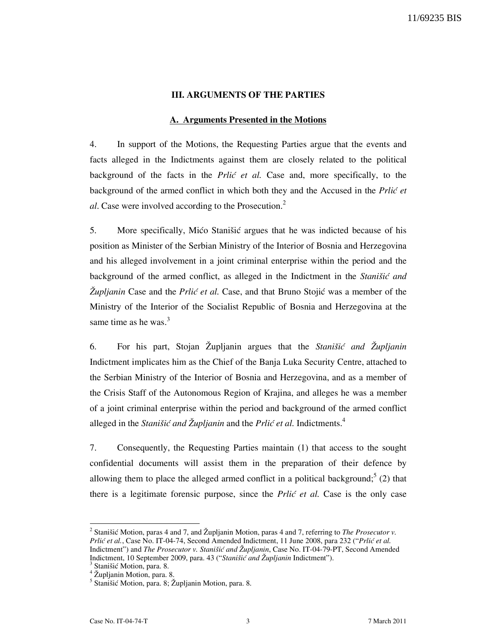#### III. ARGUMENTS OF THE PARTIES

#### A. Arguments Presented in the Motions

4. In support of the Motions, the Requesting Parties argue that the events and facts alleged in the Indictments against them are closely related to the political background of the facts in the *Prlić et al.* Case and, more specifically, to the background of the armed conflict in which both they and the Accused in the *Prlić et* al. Case were involved according to the Prosecution.<sup>2</sup>

5. More specifically, Mićo Stanišić argues that he was indicted because of his position as Minister of the Serbian Ministry of the Interior of Bosnia and Herzegovina and his alleged involvement in a joint criminal enterprise within the period and the background of the armed conflict, as alleged in the Indictment in the Stanistic and Zupljanin Case and the Prlic et al. Case, and that Bruno Stojic was a member of the Ministry of the Interior of the Socialist Republic of Bosnia and Herzegovina at the same time as he was.<sup>3</sup>

6. For his part, Stojan Župljanin argues that the Stanistic and Župljanin Indictment implicates him as the Chief of the Banja Luka Security Centre, attached to the Serbian Ministry of the Interior of Bosnia and Herzegovina, and as a member of the Crisis Staff of the Autonomous Region of Krajina, and alleges he was a member of a joint criminal enterprise within the period and background of the armed conflict alleged in the *Stanistic and Župljanin* and the *Prlic et al.* Indictments.<sup>4</sup>

7. Consequently, the Requesting Parties maintain (1) that access to the sought confidential documents will assist them in the preparation of their defence by allowing them to place the alleged armed conflict in a political background;  $5(2)$  that there is a legitimate forensic purpose, since the *Prlić et al.* Case is the only case

<sup>2</sup> Stanišić Motion, paras 4 and 7, and Župljanin Motion, paras 4 and 7, referring to *The Prosecutor v*. Prlić et al., Case No. IT-04-74, Second Amended Indictment, 11 June 2008, para 232 ("Prlić et al. Indictment") and The Prosecutor v. Stanišić and Župljanin, Case No. IT-04-79-PT, Second Amended Indictment, 10 September 2009, para. 43 ("Stanišić and Župljanin Indictment").

<sup>3</sup> Stanišić Motion, para. 8.

<sup>&</sup>lt;sup>4</sup> Župljanin Motion, para. 8.

<sup>&</sup>lt;sup>5</sup> Stanišić Motion, para. 8; Župljanin Motion, para. 8.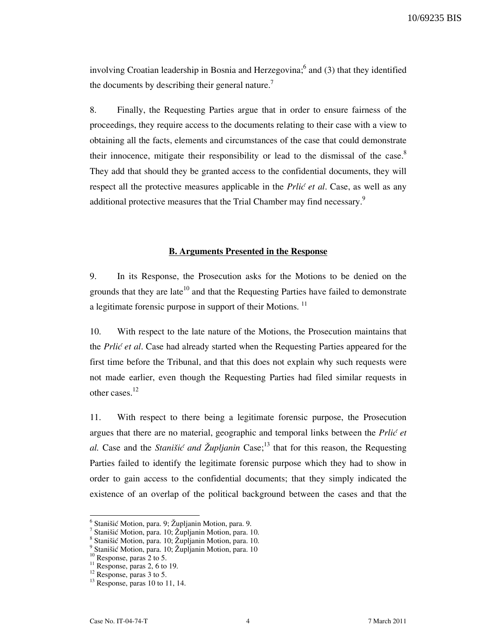10/69235 BIS

involving Croatian leadership in Bosnia and Herzegovina;  $6$  and (3) that they identified the documents by describing their general nature.<sup>7</sup>

8. Finally, the Requesting Parties argue that in order to ensure fairness of the proceedings, they require access to the documents relating to their case with a view to obtaining all the facts, elements and circumstances of the case that could demonstrate their innocence, mitigate their responsibility or lead to the dismissal of the case. $8$ They add that should they be granted access to the confidential documents, they will respect all the protective measures applicable in the *Prlić et al.* Case, as well as any additional protective measures that the Trial Chamber may find necessary.<sup>9</sup>

#### B. Arguments Presented in the Response

9. In its Response, the Prosecution asks for the Motions to be denied on the grounds that they are late<sup>10</sup> and that the Requesting Parties have failed to demonstrate a legitimate forensic purpose in support of their Motions.<sup>11</sup>

10. With respect to the late nature of the Motions, the Prosecution maintains that the Prlic et al. Case had already started when the Requesting Parties appeared for the first time before the Tribunal, and that this does not explain why such requests were not made earlier, even though the Requesting Parties had filed similar requests in other cases.<sup>12</sup>

11. With respect to there being a legitimate forensic purpose, the Prosecution argues that there are no material, geographic and temporal links between the  $Pri\acute{e}$  et al. Case and the *Stanišić and Župljanin* Case;<sup>13</sup> that for this reason, the Requesting Parties failed to identify the legitimate forensic purpose which they had to show in order to gain access to the confidential documents; that they simply indicated the existence of an overlap of the political background between the cases and that the

<sup>&</sup>lt;sup>6</sup> Stanišić Motion, para. 9; Župljanin Motion, para. 9.

<sup>7</sup> Stanišić Motion, para. 10; Župljanin Motion, para. 10.

<sup>8</sup> Stanišić Motion, para. 10; Župljanin Motion, para. 10.

<sup>9</sup> Stanišić Motion, para. 10; Župljanin Motion, para. 10

 $10$  Response, paras 2 to 5.

 $11$  Response, paras 2, 6 to 19.

<sup>&</sup>lt;sup>12</sup> Response, paras 3 to 5.

 $13$  Response, paras 10 to 11, 14.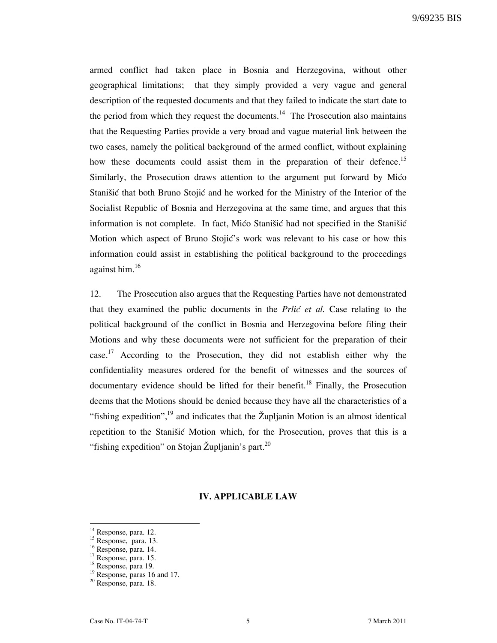armed conflict had taken place in Bosnia and Herzegovina, without other geographical limitations; that they simply provided a very vague and general description of the requested documents and that they failed to indicate the start date to the period from which they request the documents.<sup>14</sup> The Prosecution also maintains that the Requesting Parties provide a very broad and vague material link between the two cases, namely the political background of the armed conflict, without explaining how these documents could assist them in the preparation of their defence.<sup>15</sup> Similarly, the Prosecution draws attention to the argument put forward by Mićo Stanišić that both Bruno Stojić and he worked for the Ministry of the Interior of the Socialist Republic of Bosnia and Herzegovina at the same time, and argues that this information is not complete. In fact, Mico Stanišic had not specified in the Stanišic Motion which aspect of Bruno Stojić's work was relevant to his case or how this information could assist in establishing the political background to the proceedings against him.<sup>16</sup>

12. The Prosecution also argues that the Requesting Parties have not demonstrated that they examined the public documents in the *Prlić et al.* Case relating to the political background of the conflict in Bosnia and Herzegovina before filing their Motions and why these documents were not sufficient for the preparation of their case.<sup>17</sup> According to the Prosecution, they did not establish either why the confidentiality measures ordered for the benefit of witnesses and the sources of documentary evidence should be lifted for their benefit.<sup>18</sup> Finally, the Prosecution deems that the Motions should be denied because they have all the characteristics of a "fishing expedition",<sup>19</sup> and indicates that the Župljanin Motion is an almost identical repetition to the Stanišić Motion which, for the Prosecution, proves that this is a "fishing expedition" on Stojan Župljanin's part.<sup>20</sup>

#### IV. APPLICABLE LAW

<sup>&</sup>lt;sup>14</sup> Response, para. 12.

 $15$  Response, para. 13.

 $16$  Response, para. 14.

<sup>&</sup>lt;sup>17</sup> Response, para. 15.

<sup>18</sup> Response, para 19.

<sup>&</sup>lt;sup>19</sup> Response, paras 16 and 17.

<sup>20</sup> Response, para. 18.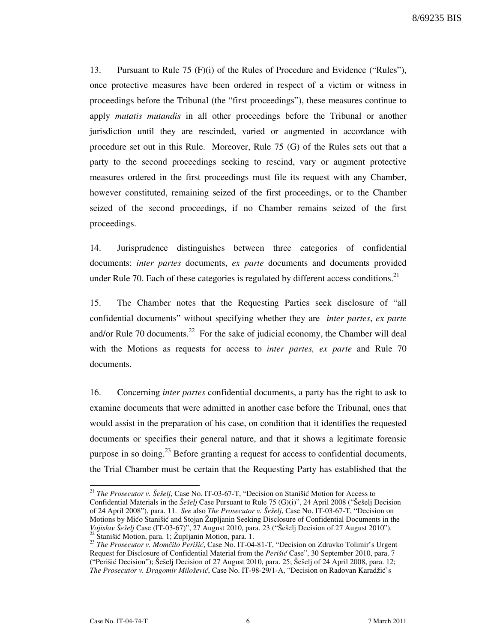8/69235 BIS

13. Pursuant to Rule 75 (F)(i) of the Rules of Procedure and Evidence ("Rules"), once protective measures have been ordered in respect of a victim or witness in proceedings before the Tribunal (the "first proceedings"), these measures continue to apply *mutatis mutandis* in all other proceedings before the Tribunal or another jurisdiction until they are rescinded, varied or augmented in accordance with procedure set out in this Rule. Moreover, Rule 75 (G) of the Rules sets out that a party to the second proceedings seeking to rescind, vary or augment protective measures ordered in the first proceedings must file its request with any Chamber, however constituted, remaining seized of the first proceedings, or to the Chamber seized of the second proceedings, if no Chamber remains seized of the first proceedings.

14. Jurisprudence distinguishes between three categories of confidential documents: *inter partes* documents, ex parte documents and documents provided under Rule 70. Each of these categories is regulated by different access conditions.<sup>21</sup>

15. The Chamber notes that the Requesting Parties seek disclosure of "all confidential documents" without specifying whether they are *inter partes, ex parte* and/or Rule 70 documents.<sup>22</sup> For the sake of judicial economy, the Chamber will deal with the Motions as requests for access to *inter partes, ex parte* and Rule 70 documents.

16. Concerning inter partes confidential documents, a party has the right to ask to examine documents that were admitted in another case before the Tribunal, ones that would assist in the preparation of his case, on condition that it identifies the requested documents or specifies their general nature, and that it shows a legitimate forensic purpose in so doing.<sup>23</sup> Before granting a request for access to confidential documents, the Trial Chamber must be certain that the Requesting Party has established that the

<sup>&</sup>lt;sup>21</sup> The Prosecutor v. Šešelj, Case No. IT-03-67-T, "Decision on Stanišić Motion for Access to Confidential Materials in the  $\check{S}e\check{se}elj$  Case Pursuant to Rule 75 (G)(i)", 24 April 2008 ("Šešelj Decision of 24 April 2008"), para. 11. See also The Prosecutor v. Šešelj, Case No. IT-03-67-T, "Decision on Motions by Mićo Stanišić and Stojan Župljanin Seeking Disclosure of Confidential Documents in the Vojislav Šešelj Case (IT-03-67)", 27 August 2010, para. 23 ("Šešelj Decision of 27 August 2010").  $^{22}$  Stanišić Motion, para. 1; Župljanin Motion, para. 1.

<sup>&</sup>lt;sup>23</sup> The Prosecutor v. Momčilo Perišić, Case No. IT-04-81-T, "Decision on Zdravko Tolimir's Urgent Request for Disclosure of Confidential Material from the Perišić Case", 30 September 2010, para. 7 ("Perišić Decision"); Šešelj Decision of 27 August 2010, para. 25; Šešelj of 24 April 2008, para. 12; The Prosecutor v. Dragomir Milošević, Case No. IT-98-29/1-A, "Decision on Radovan Karadžić's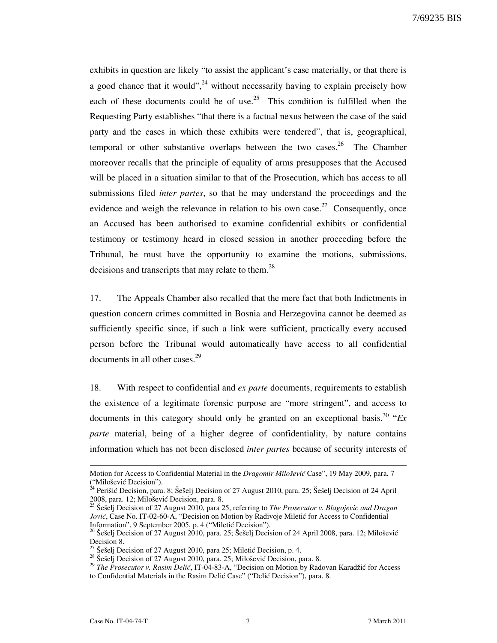exhibits in question are likely "to assist the applicant's case materially, or that there is a good chance that it would",  $^{24}$  without necessarily having to explain precisely how each of these documents could be of use.<sup>25</sup> This condition is fulfilled when the Requesting Party establishes "that there is a factual nexus between the case of the said party and the cases in which these exhibits were tendered", that is, geographical, temporal or other substantive overlaps between the two cases.<sup>26</sup> The Chamber moreover recalls that the principle of equality of arms presupposes that the Accused will be placed in a situation similar to that of the Prosecution, which has access to all submissions filed *inter partes*, so that he may understand the proceedings and the evidence and weigh the relevance in relation to his own case.<sup>27</sup> Consequently, once an Accused has been authorised to examine confidential exhibits or confidential testimony or testimony heard in closed session in another proceeding before the Tribunal, he must have the opportunity to examine the motions, submissions, decisions and transcripts that may relate to them.<sup>28</sup>

17. The Appeals Chamber also recalled that the mere fact that both Indictments in question concern crimes committed in Bosnia and Herzegovina cannot be deemed as sufficiently specific since, if such a link were sufficient, practically every accused person before the Tribunal would automatically have access to all confidential documents in all other cases. $29$ 

18. With respect to confidential and *ex parte* documents, requirements to establish the existence of a legitimate forensic purpose are "more stringent", and access to documents in this category should only be granted on an exceptional basis.<sup>30</sup> " $Ex$ parte material, being of a higher degree of confidentiality, by nature contains information which has not been disclosed inter partes because of security interests of

Motion for Access to Confidential Material in the Dragomir Milošević Case", 19 May 2009, para. 7 ("Milošević Decision").

 $^{24}$  Perišić Decision, para. 8; Šešelj Decision of 27 August 2010, para. 25; Šešelj Decision of 24 April 2008, para. 12; Milošević Decision, para. 8.

<sup>&</sup>lt;sup>25</sup> Šešelj Decision of 27 August 2010, para 25, referring to *The Prosecutor v. Blagojevic and Dragan* Jović, Case No. IT-02-60-A, "Decision on Motion by Radivoje Miletić for Access to Confidential Information", 9 September 2005, p. 4 ("Miletic Decision").

<sup>&</sup>lt;sup>26</sup> Šešelj Decision of 27 August 2010, para. 25; Šešelj Decision of 24 April 2008, para. 12; Milošević Decision 8.

Šešelj Decision of 27 August 2010, para 25; Miletić Decision, p. 4.

 $^{28}$  Seselj Decision of 27 August 2010, para. 25; Milošević Decision, para. 8.

<sup>&</sup>lt;sup>29</sup> The Prosecutor v. Rasim Delić, IT-04-83-A, "Decision on Motion by Radovan Karadžić for Access to Confidential Materials in the Rasim Delić Case" ("Delić Decision"), para. 8.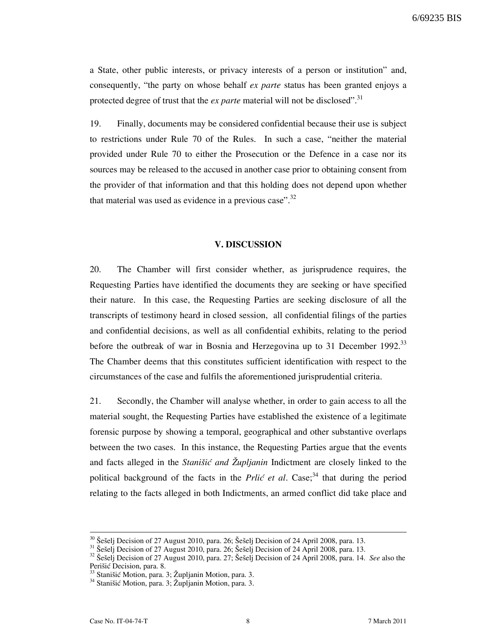6/69235 BIS

a State, other public interests, or privacy interests of a person or institution" and, consequently, "the party on whose behalf ex parte status has been granted enjoys a protected degree of trust that the *ex parte* material will not be disclosed".<sup>31</sup>

19. Finally, documents may be considered confidential because their use is subject to restrictions under Rule 70 of the Rules. In such a case, "neither the material provided under Rule 70 to either the Prosecution or the Defence in a case nor its sources may be released to the accused in another case prior to obtaining consent from the provider of that information and that this holding does not depend upon whether that material was used as evidence in a previous case". $32$ 

#### V. DISCUSSION

20. The Chamber will first consider whether, as jurisprudence requires, the Requesting Parties have identified the documents they are seeking or have specified their nature. In this case, the Requesting Parties are seeking disclosure of all the transcripts of testimony heard in closed session, all confidential filings of the parties and confidential decisions, as well as all confidential exhibits, relating to the period before the outbreak of war in Bosnia and Herzegovina up to 31 December 1992.<sup>33</sup> The Chamber deems that this constitutes sufficient identification with respect to the circumstances of the case and fulfils the aforementioned jurisprudential criteria.

21. Secondly, the Chamber will analyse whether, in order to gain access to all the material sought, the Requesting Parties have established the existence of a legitimate forensic purpose by showing a temporal, geographical and other substantive overlaps between the two cases. In this instance, the Requesting Parties argue that the events and facts alleged in the *Stanišić and*  $\check{Z}$ *upljanin* Indictment are closely linked to the political background of the facts in the *Prlić et al.* Case;<sup>34</sup> that during the period relating to the facts alleged in both Indictments, an armed conflict did take place and

 $30$  Šešelj Decision of 27 August 2010, para. 26; Šešelj Decision of 24 April 2008, para. 13.

 $\frac{31}{2}$  Šešelj Decision of 27 August 2010, para. 26; Šešelj Decision of 24 April 2008, para. 13.

 $32$  Seselj Decision of 27 August 2010, para. 27; Seselj Decision of 24 April 2008, para. 14. See also the Perišić Decision, para. 8.

 $33$  Stanišić Motion, para. 3; Župljanin Motion, para. 3.

<sup>&</sup>lt;sup>34</sup> Stanišić Motion, para. 3; Župljanin Motion, para. 3.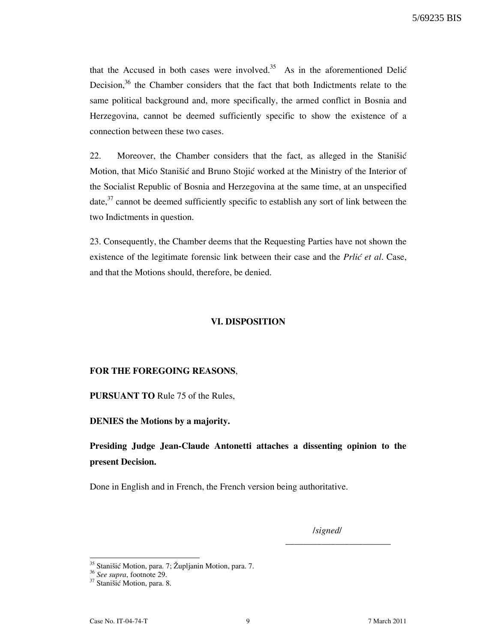that the Accused in both cases were involved.<sup>35</sup> As in the aforementioned Delić Decision, $36$  the Chamber considers that the fact that both Indictments relate to the same political background and, more specifically, the armed conflict in Bosnia and Herzegovina, cannot be deemed sufficiently specific to show the existence of a connection between these two cases.

22. Moreover, the Chamber considers that the fact, as alleged in the Stanišić Motion, that Mićo Stanišić and Bruno Stojić worked at the Ministry of the Interior of the Socialist Republic of Bosnia and Herzegovina at the same time, at an unspecified date, $37$  cannot be deemed sufficiently specific to establish any sort of link between the two Indictments in question.

23. Consequently, the Chamber deems that the Requesting Parties have not shown the existence of the legitimate forensic link between their case and the *Prlić et al.* Case, and that the Motions should, therefore, be denied.

#### VI. DISPOSITION

#### FOR THE FOREGOING REASONS,

PURSUANT TO Rule 75 of the Rules,

DENIES the Motions by a majority.

# Presiding Judge Jean-Claude Antonetti attaches a dissenting opinion to the present Decision.

Done in English and in French, the French version being authoritative.

/signed/

\_\_\_\_\_\_\_\_\_\_\_\_\_\_\_\_\_\_\_\_\_\_\_

<sup>&</sup>lt;sup>35</sup> Stanišić Motion, para. 7; Župljanin Motion, para. 7.

<sup>&</sup>lt;sup>36</sup> See supra, footnote 29.

<sup>&</sup>lt;sup>37</sup> Stanišić Motion, para. 8.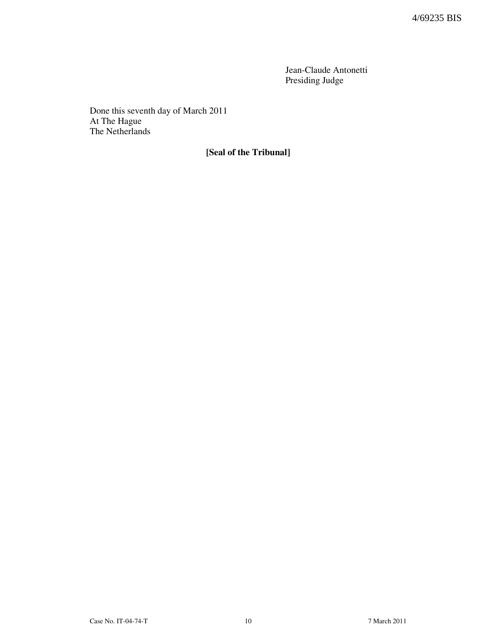Jean-Claude Antonetti Presiding Judge

Done this seventh day of March 2011 At The Hague The Netherlands

# [Seal of the Tribunal]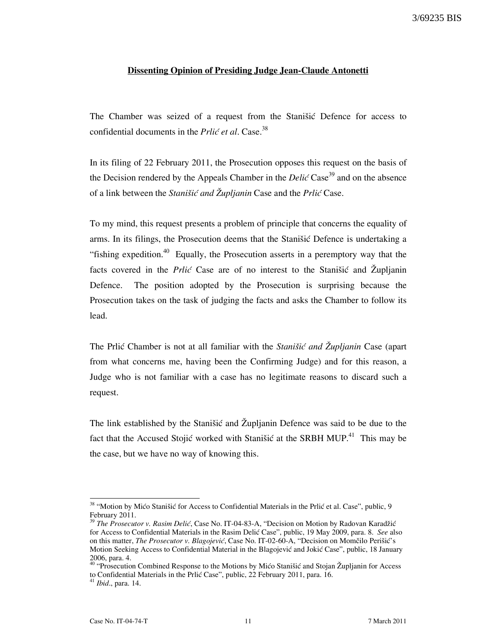#### Dissenting Opinion of Presiding Judge Jean-Claude Antonetti

The Chamber was seized of a request from the Stanišić Defence for access to confidential documents in the *Prlić et al.* Case.<sup>38</sup>

In its filing of 22 February 2011, the Prosecution opposes this request on the basis of the Decision rendered by the Appeals Chamber in the *Delic* Case<sup>39</sup> and on the absence of a link between the *Stanišić and Župljanin* Case and the *Prlić* Case.

To my mind, this request presents a problem of principle that concerns the equality of arms. In its filings, the Prosecution deems that the Stanistic Defence is undertaking a "fishing expedition.<sup>40</sup> Equally, the Prosecution asserts in a peremptory way that the facts covered in the *Prlic* Case are of no interest to the Stanisic and  $\ddot{Z}$ upljanin Defence. The position adopted by the Prosecution is surprising because the Prosecution takes on the task of judging the facts and asks the Chamber to follow its lead.

The Prlic Chamber is not at all familiar with the *Stanistic and Zupljanin* Case (apart from what concerns me, having been the Confirming Judge) and for this reason, a Judge who is not familiar with a case has no legitimate reasons to discard such a request.

The link established by the Stanišić and Župljanin Defence was said to be due to the fact that the Accused Stojić worked with Stanišić at the SRBH MUP.<sup>41</sup> This may be the case, but we have no way of knowing this.

<sup>&</sup>lt;sup>38</sup> "Motion by Mićo Stanišić for Access to Confidential Materials in the Prlić et al. Case", public, 9 February 2011.

 $39$  The Prosecutor v. Rasim Delić, Case No. IT-04-83-A, "Decision on Motion by Radovan Karadžić for Access to Confidential Materials in the Rasim Delić Case", public, 19 May 2009, para. 8. See also on this matter, The Prosecutor v. Blagojević, Case No. IT-02-60-A, "Decision on Momčilo Perišić's Motion Seeking Access to Confidential Material in the Blagojević and Jokić Case", public, 18 January 2006, para. 4.

<sup>&</sup>lt;sup>40</sup> "Prosecution Combined Response to the Motions by Mico Stanišic and Stojan Župljanin for Access to Confidential Materials in the Prlić Case", public, 22 February 2011, para. 16.

 $4\overline{1}$  *Ibid.*, para. 14.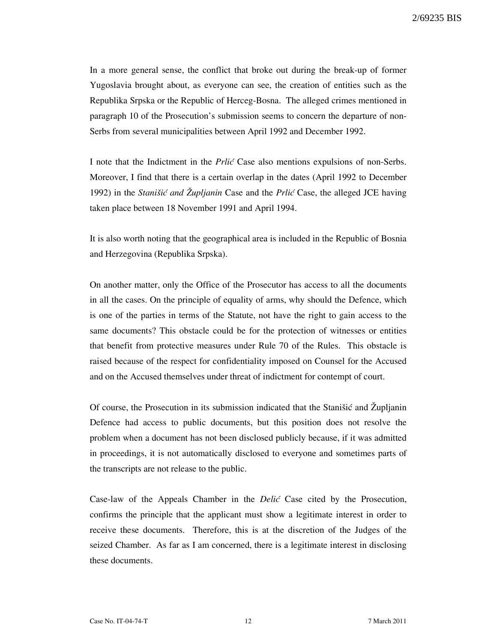In a more general sense, the conflict that broke out during the break-up of former Yugoslavia brought about, as everyone can see, the creation of entities such as the Republika Srpska or the Republic of Herceg-Bosna. The alleged crimes mentioned in paragraph 10 of the Prosecution's submission seems to concern the departure of non-Serbs from several municipalities between April 1992 and December 1992.

I note that the Indictment in the *Prlic* Case also mentions expulsions of non-Serbs. Moreover, I find that there is a certain overlap in the dates (April 1992 to December 1992) in the Stanišić and Župljanin Case and the Prlić Case, the alleged JCE having taken place between 18 November 1991 and April 1994.

It is also worth noting that the geographical area is included in the Republic of Bosnia and Herzegovina (Republika Srpska).

On another matter, only the Office of the Prosecutor has access to all the documents in all the cases. On the principle of equality of arms, why should the Defence, which is one of the parties in terms of the Statute, not have the right to gain access to the same documents? This obstacle could be for the protection of witnesses or entities that benefit from protective measures under Rule 70 of the Rules. This obstacle is raised because of the respect for confidentiality imposed on Counsel for the Accused and on the Accused themselves under threat of indictment for contempt of court.

Of course, the Prosecution in its submission indicated that the Stanistic and  $\ddot{Z}$ upljanin Defence had access to public documents, but this position does not resolve the problem when a document has not been disclosed publicly because, if it was admitted in proceedings, it is not automatically disclosed to everyone and sometimes parts of the transcripts are not release to the public.

Case-law of the Appeals Chamber in the *Delić* Case cited by the Prosecution, confirms the principle that the applicant must show a legitimate interest in order to receive these documents. Therefore, this is at the discretion of the Judges of the seized Chamber. As far as I am concerned, there is a legitimate interest in disclosing these documents.